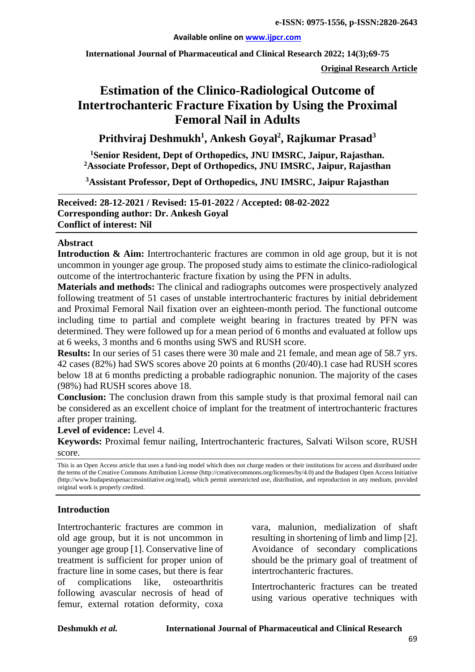#### **Available online on [www.ijpcr.com](http://www.ijpcr.com/)**

**International Journal of Pharmaceutical and Clinical Research 2022; 14(3);69-75**

**Original Research Article**

# **Estimation of the Clinico-Radiological Outcome of Intertrochanteric Fracture Fixation by Using the Proximal Femoral Nail in Adults**

## **Prithviraj Deshmukh<sup>1</sup> , Ankesh Goyal2 , Rajkumar Prasad<sup>3</sup>**

**1 Senior Resident, Dept of Orthopedics, JNU IMSRC, Jaipur, Rajasthan. 2 Associate Professor, Dept of Orthopedics, JNU IMSRC, Jaipur, Rajasthan**

**3Assistant Professor, Dept of Orthopedics, JNU IMSRC, Jaipur Rajasthan**

**Received: 28-12-2021 / Revised: 15-01-2022 / Accepted: 08-02-2022 Corresponding author: Dr. Ankesh Goyal Conflict of interest: Nil**

#### **Abstract**

**Introduction & Aim:** Intertrochanteric fractures are common in old age group, but it is not uncommon in younger age group. The proposed study aims to estimate the clinico-radiological outcome of the intertrochanteric fracture fixation by using the PFN in adults.

**Materials and methods:** The clinical and radiographs outcomes were prospectively analyzed following treatment of 51 cases of unstable intertrochanteric fractures by initial debridement and Proximal Femoral Nail fixation over an eighteen-month period. The functional outcome including time to partial and complete weight bearing in fractures treated by PFN was determined. They were followed up for a mean period of 6 months and evaluated at follow ups at 6 weeks, 3 months and 6 months using SWS and RUSH score.

**Results:** In our series of 51 cases there were 30 male and 21 female, and mean age of 58.7 yrs. 42 cases (82%) had SWS scores above 20 points at 6 months (20/40).1 case had RUSH scores below 18 at 6 months predicting a probable radiographic nonunion. The majority of the cases (98%) had RUSH scores above 18.

**Conclusion:** The conclusion drawn from this sample study is that proximal femoral nail can be considered as an excellent choice of implant for the treatment of intertrochanteric fractures after proper training.

**Level of evidence:** Level 4.

**Keywords:** Proximal femur nailing, Intertrochanteric fractures, Salvati Wilson score, RUSH score.

#### **Introduction**

Intertrochanteric fractures are common in old age group, but it is not uncommon in younger age group [1]. Conservative line of treatment is sufficient for proper union of fracture line in some cases, but there is fear of complications like, osteoarthritis following avascular necrosis of head of femur, external rotation deformity, coxa vara, malunion, medialization of shaft resulting in shortening of limb and limp [2]. Avoidance of secondary complications should be the primary goal of treatment of intertrochanteric fractures.

Intertrochanteric fractures can be treated using various operative techniques with

This is an Open Access article that uses a fund-ing model which does not charge readers or their institutions for access and distributed under the terms of the Creative Commons Attribution License (http://creativecommons.org/licenses/by/4.0) and the Budapest Open Access Initiative (http://www.budapestopenaccessinitiative.org/read), which permit unrestricted use, distribution, and reproduction in any medium, provided original work is properly credited.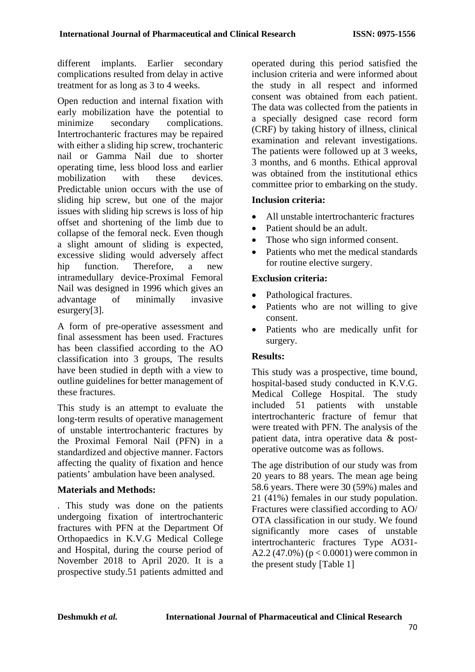different implants. Earlier secondary complications resulted from delay in active treatment for as long as 3 to 4 weeks.

Open reduction and internal fixation with early mobilization have the potential to minimize secondary complications. Intertrochanteric fractures may be repaired with either a sliding hip screw, trochanteric nail or Gamma Nail due to shorter operating time, less blood loss and earlier mobilization with these devices. Predictable union occurs with the use of sliding hip screw, but one of the major issues with sliding hip screws is loss of hip offset and shortening of the limb due to collapse of the femoral neck. Even though a slight amount of sliding is expected, excessive sliding would adversely affect hip function. Therefore, a new intramedullary device-Proximal Femoral Nail was designed in 1996 which gives an advantage of minimally invasive esurgery[3].

A form of pre-operative assessment and final assessment has been used. Fractures has been classified according to the AO classification into 3 groups, The results have been studied in depth with a view to outline guidelines for better management of these fractures.

This study is an attempt to evaluate the long-term results of operative management of unstable intertrochanteric fractures by the Proximal Femoral Nail (PFN) in a standardized and objective manner. Factors affecting the quality of fixation and hence patients' ambulation have been analysed.

### **Materials and Methods:**

. This study was done on the patients undergoing fixation of intertrochanteric fractures with PFN at the Department Of Orthopaedics in K.V.G Medical College and Hospital, during the course period of November 2018 to April 2020. It is a prospective study.51 patients admitted and operated during this period satisfied the inclusion criteria and were informed about the study in all respect and informed consent was obtained from each patient. The data was collected from the patients in a specially designed case record form (CRF) by taking history of illness, clinical examination and relevant investigations. The patients were followed up at 3 weeks, 3 months, and 6 months. Ethical approval was obtained from the institutional ethics committee prior to embarking on the study.

## **Inclusion criteria:**

- All unstable intertrochanteric fractures
- Patient should be an adult.
- Those who sign informed consent.
- Patients who met the medical standards for routine elective surgery.

### **Exclusion criteria:**

- Pathological fractures.
- Patients who are not willing to give consent.
- Patients who are medically unfit for surgery.

### **Results:**

This study was a prospective, time bound, hospital-based study conducted in K.V.G. Medical College Hospital. The study included 51 patients with unstable intertrochanteric fracture of femur that were treated with PFN. The analysis of the patient data, intra operative data & postoperative outcome was as follows.

The age distribution of our study was from 20 years to 88 years. The mean age being 58.6 years. There were 30 (59%) males and 21 (41%) females in our study population. Fractures were classified according to AO/ OTA classification in our study. We found significantly more cases of unstable intertrochanteric fractures Type AO31- A2.2 (47.0%) ( $p < 0.0001$ ) were common in the present study [Table 1]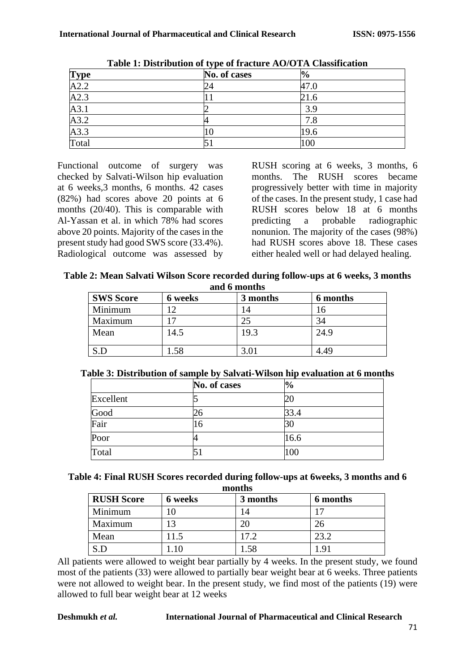|                                            | ັັ<br>No. of cases | $\frac{1}{2}$ |  |
|--------------------------------------------|--------------------|---------------|--|
| $\frac{\text{Type}}{\text{A2.2}}$          |                    | 47.0          |  |
| A2.3                                       |                    | 21.6          |  |
|                                            | ∽                  | 3.9           |  |
|                                            | 4                  | 7.8           |  |
| $\frac{A3.1}{A3.2}$<br>$\frac{A3.3}{A3.3}$ | ΙU                 | 19.6          |  |
| Total                                      |                    | 100           |  |

**Table 1: Distribution of type of fracture AO/OTA Classification**

Functional outcome of surgery was checked by Salvati-Wilson hip evaluation at 6 weeks,3 months, 6 months. 42 cases (82%) had scores above 20 points at 6 months (20/40). This is comparable with Al-Yassan et al. in which 78% had scores above 20 points. Majority of the cases in the present study had good SWS score (33.4%). Radiological outcome was assessed by RUSH scoring at 6 weeks, 3 months, 6 months. The RUSH scores became progressively better with time in majority of the cases. In the present study, 1 case had RUSH scores below 18 at 6 months predicting a probable radiographic nonunion. The majority of the cases (98%) had RUSH scores above 18. These cases either healed well or had delayed healing.

| Table 2: Mean Salvati Wilson Score recorded during follow-ups at 6 weeks, 3 months |  |
|------------------------------------------------------------------------------------|--|
| and 6 months                                                                       |  |

| <b>SWS Score</b> | 6 weeks | 3 months | 6 months |
|------------------|---------|----------|----------|
| Minimum          |         | 4        | 16       |
| Maximum          |         |          | 34       |
| Mean             | 14.5    | 19.3     | 24.9     |
|                  | .58     | 3.01     | 4.49     |

|  |  |  |  |  | Table 3: Distribution of sample by Salvati-Wilson hip evaluation at 6 months |
|--|--|--|--|--|------------------------------------------------------------------------------|
|--|--|--|--|--|------------------------------------------------------------------------------|

|              | No. of cases | $\frac{0}{0}$ |
|--------------|--------------|---------------|
| Excellent    |              | 20            |
| Good<br>Fair |              | 33.4          |
|              | 16           | 30            |
| Poor         |              | 16.6          |
| Total        |              | 100           |

**Table 4: Final RUSH Scores recorded during follow-ups at 6weeks, 3 months and 6 months**

| <b>RUSH Score</b> | 6 weeks | 3 months | 6 months |
|-------------------|---------|----------|----------|
| Minimum           |         |          |          |
| Maximum           |         | 20       | 26       |
| Mean              | 11.5    | 17.2     | 23.2     |
|                   |         | .58      | 91. ا    |

All patients were allowed to weight bear partially by 4 weeks. In the present study, we found most of the patients (33) were allowed to partially bear weight bear at 6 weeks. Three patients were not allowed to weight bear. In the present study, we find most of the patients (19) were allowed to full bear weight bear at 12 weeks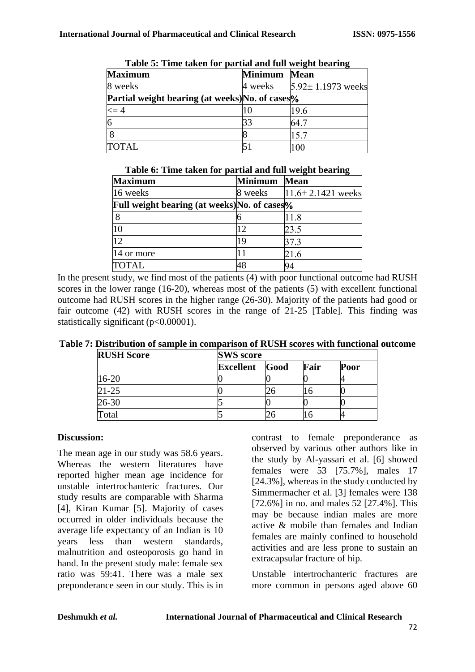| Table of Thile taken for partial and full weight bearing |                |                         |  |  |  |  |  |
|----------------------------------------------------------|----------------|-------------------------|--|--|--|--|--|
| <b>Maximum</b>                                           | <b>Minimum</b> | Mean                    |  |  |  |  |  |
| 8 weeks                                                  | 4 weeks        | $5.92 \pm 1.1973$ weeks |  |  |  |  |  |
| Partial weight bearing (at weeks) No. of cases %         |                |                         |  |  |  |  |  |
| $\leq$ = 4                                               | 10             | 19.6                    |  |  |  |  |  |
| 6                                                        | 33             | 64.7                    |  |  |  |  |  |
|                                                          |                | 15.7                    |  |  |  |  |  |
| <b>TOTAL</b>                                             |                | 100                     |  |  |  |  |  |

|  |  |  | Table 5: Time taken for partial and full weight bearing |
|--|--|--|---------------------------------------------------------|
|  |  |  |                                                         |

| Table o: Thne taken for partial and full weight bearing |                |                         |  |  |  |  |  |
|---------------------------------------------------------|----------------|-------------------------|--|--|--|--|--|
| <b>Maximum</b>                                          | <b>Minimum</b> | <b>Mean</b>             |  |  |  |  |  |
| 16 weeks                                                | 8 weeks        | $11.6 \pm 2.1421$ weeks |  |  |  |  |  |
| <b>Full weight bearing (at weeks) No. of cases</b> %    |                |                         |  |  |  |  |  |
| 8                                                       |                | 11.8                    |  |  |  |  |  |
| 10                                                      | 12             | 23.5                    |  |  |  |  |  |
| 12                                                      | 19             | 37.3                    |  |  |  |  |  |
| 14 or more                                              | 11             | 21.6                    |  |  |  |  |  |
| <b>TOTAL</b>                                            | 48             | 94                      |  |  |  |  |  |

#### **Table 6: Time taken for partial and full weight bearing**

In the present study, we find most of the patients (4) with poor functional outcome had RUSH scores in the lower range (16-20), whereas most of the patients (5) with excellent functional outcome had RUSH scores in the higher range (26-30). Majority of the patients had good or fair outcome (42) with RUSH scores in the range of 21-25 [Table]. This finding was statistically significant (p<0.00001).

| Table 7: Distribution of sample in comparison of RUSH scores with functional outcome |  |  |  |  |
|--------------------------------------------------------------------------------------|--|--|--|--|
|                                                                                      |  |  |  |  |

| <b>RUSH Score</b> | <b>SWS</b> score |      |      |      |  |
|-------------------|------------------|------|------|------|--|
|                   | <b>Excellent</b> | Good | Fair | Poor |  |
| 16-20             |                  |      |      |      |  |
| $21 - 25$         |                  |      | lб   |      |  |
| 26-30             |                  |      |      |      |  |
| `otal             |                  |      | n    |      |  |

#### **Discussion:**

The mean age in our study was 58.6 years. Whereas the western literatures have reported higher mean age incidence for unstable intertrochanteric fractures. Our study results are comparable with Sharma [4], Kiran Kumar [5]. Majority of cases occurred in older individuals because the average life expectancy of an Indian is 10 years less than western standards, malnutrition and osteoporosis go hand in hand. In the present study male: female sex ratio was 59:41. There was a male sex preponderance seen in our study. This is in

contrast to female preponderance as observed by various other authors like in the study by Al-yassari et al. [6] showed females were 53 [75.7%], males 17 [24.3%], whereas in the study conducted by Simmermacher et al. [3] females were 138 [72.6%] in no. and males 52 [27.4%]. This may be because indian males are more active & mobile than females and Indian females are mainly confined to household activities and are less prone to sustain an extracapsular fracture of hip.

Unstable intertrochanteric fractures are more common in persons aged above 60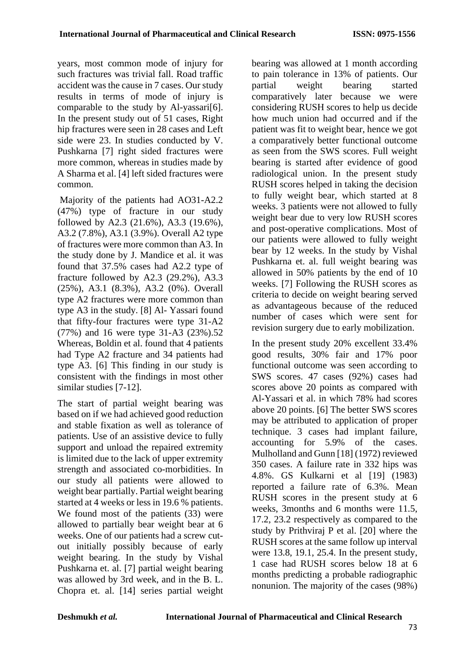years, most common mode of injury for such fractures was trivial fall. Road traffic accident was the cause in 7 cases. Our study results in terms of mode of injury is comparable to the study by Al-yassari[6]. In the present study out of 51 cases, Right hip fractures were seen in 28 cases and Left side were 23. In studies conducted by V. Pushkarna [7] right sided fractures were more common, whereas in studies made by A Sharma et al. [4] left sided fractures were common.

Majority of the patients had AO31-A2.2 (47%) type of fracture in our study followed by A2.3 (21.6%), A3.3 (19.6%), A3.2 (7.8%), A3.1 (3.9%). Overall A2 type of fractures were more common than A3. In the study done by J. Mandice et al. it was found that 37.5% cases had A2.2 type of fracture followed by A2.3 (29.2%), A3.3 (25%), A3.1 (8.3%), A3.2 (0%). Overall type A2 fractures were more common than type A3 in the study. [8] Al- Yassari found that fifty-four fractures were type 31-A2 (77%) and 16 were type 31-A3 (23%).52 Whereas, Boldin et al. found that 4 patients had Type A2 fracture and 34 patients had type A3. [6] This finding in our study is consistent with the findings in most other similar studies [7-12].

The start of partial weight bearing was based on if we had achieved good reduction and stable fixation as well as tolerance of patients. Use of an assistive device to fully support and unload the repaired extremity is limited due to the lack of upper extremity strength and associated co-morbidities. In our study all patients were allowed to weight bear partially. Partial weight bearing started at 4 weeks or less in 19.6 % patients. We found most of the patients (33) were allowed to partially bear weight bear at 6 weeks. One of our patients had a screw cutout initially possibly because of early weight bearing. In the study by Vishal Pushkarna et. al. [7] partial weight bearing was allowed by 3rd week, and in the B. L. Chopra et. al. [14] series partial weight bearing was allowed at 1 month according to pain tolerance in 13% of patients. Our partial weight bearing started comparatively later because we were considering RUSH scores to help us decide how much union had occurred and if the patient was fit to weight bear, hence we got a comparatively better functional outcome as seen from the SWS scores. Full weight bearing is started after evidence of good radiological union. In the present study RUSH scores helped in taking the decision to fully weight bear, which started at 8 weeks. 3 patients were not allowed to fully weight bear due to very low RUSH scores and post-operative complications. Most of our patients were allowed to fully weight bear by 12 weeks. In the study by Vishal Pushkarna et. al. full weight bearing was allowed in 50% patients by the end of 10 weeks. [7] Following the RUSH scores as criteria to decide on weight bearing served as advantageous because of the reduced number of cases which were sent for revision surgery due to early mobilization.

In the present study 20% excellent 33.4% good results, 30% fair and 17% poor functional outcome was seen according to SWS scores. 47 cases (92%) cases had scores above 20 points as compared with Al-Yassari et al. in which 78% had scores above 20 points. [6] The better SWS scores may be attributed to application of proper technique. 3 cases had implant failure, accounting for 5.9% of the cases. Mulholland and Gunn [18] (1972) reviewed 350 cases. A failure rate in 332 hips was 4.8%. GS Kulkarni et al [19] (1983) reported a failure rate of 6.3%. Mean RUSH scores in the present study at 6 weeks, 3months and 6 months were 11.5, 17.2, 23.2 respectively as compared to the study by Prithviraj P et al. [20] where the RUSH scores at the same follow up interval were 13.8, 19.1, 25.4. In the present study, 1 case had RUSH scores below 18 at 6 months predicting a probable radiographic nonunion. The majority of the cases (98%)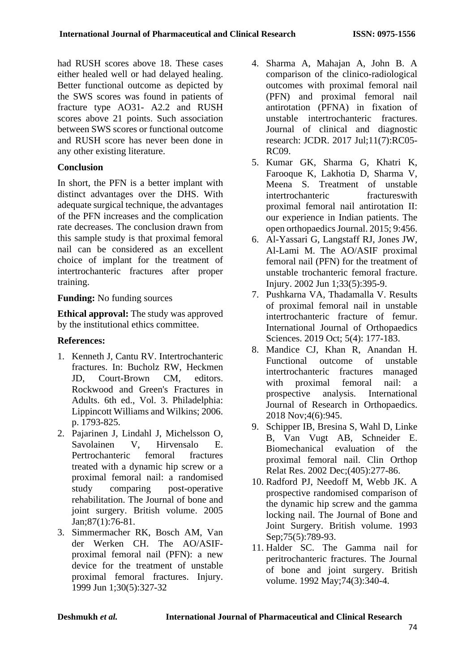had RUSH scores above 18. These cases either healed well or had delayed healing. Better functional outcome as depicted by the SWS scores was found in patients of fracture type AO31- A2.2 and RUSH scores above 21 points. Such association between SWS scores or functional outcome and RUSH score has never been done in any other existing literature.

### **Conclusion**

In short, the PFN is a better implant with distinct advantages over the DHS. With adequate surgical technique, the advantages of the PFN increases and the complication rate decreases. The conclusion drawn from this sample study is that proximal femoral nail can be considered as an excellent choice of implant for the treatment of intertrochanteric fractures after proper training.

### **Funding:** No funding sources

**Ethical approval:** The study was approved by the institutional ethics committee.

## **References:**

- 1. Kenneth J, Cantu RV. Intertrochanteric fractures. In: Bucholz RW, Heckmen JD, Court-Brown CM, editors. Rockwood and Green's Fractures in Adults. 6th ed., Vol. 3. Philadelphia: Lippincott Williams and Wilkins; 2006. p. 1793-825.
- 2. Pajarinen J, Lindahl J, Michelsson O, Savolainen V, Hirvensalo E. Pertrochanteric femoral fractures treated with a dynamic hip screw or a proximal femoral nail: a randomised study comparing post-operative rehabilitation. The Journal of bone and joint surgery. British volume. 2005 Jan;87(1):76-81.
- 3. Simmermacher RK, Bosch AM, Van der Werken CH. The AO/ASIFproximal femoral nail (PFN): a new device for the treatment of unstable proximal femoral fractures. Injury. 1999 Jun 1;30(5):327-32
- 4. Sharma A, Mahajan A, John B. A comparison of the clinico-radiological outcomes with proximal femoral nail (PFN) and proximal femoral nail antirotation (PFNA) in fixation of unstable intertrochanteric fractures. Journal of clinical and diagnostic research: JCDR. 2017 Jul;11(7):RC05- RC09.
- 5. Kumar GK, Sharma G, Khatri K, Farooque K, Lakhotia D, Sharma V, Meena S. Treatment of unstable intertrochanteric fractures with proximal femoral nail antirotation II: our experience in Indian patients. The open orthopaedics Journal. 2015; 9:456.
- 6. Al-Yassari G, Langstaff RJ, Jones JW, Al-Lami M. The AO/ASIF proximal femoral nail (PFN) for the treatment of unstable trochanteric femoral fracture. Injury. 2002 Jun 1;33(5):395-9.
- 7. Pushkarna VA, Thadamalla V. Results of proximal femoral nail in unstable intertrochanteric fracture of femur. International Journal of Orthopaedics Sciences. 2019 Oct; 5(4): 177-183.
- 8. Mandice CJ, Khan R, Anandan H. Functional outcome of unstable intertrochanteric fractures managed with proximal femoral nail: a prospective analysis. International Journal of Research in Orthopaedics. 2018 Nov;4(6):945.
- 9. Schipper IB, Bresina S, Wahl D, Linke B, Van Vugt AB, Schneider E. Biomechanical evaluation of the proximal femoral nail. Clin Orthop Relat Res. 2002 Dec;(405):277-86.
- 10. Radford PJ, Needoff M, Webb JK. A prospective randomised comparison of the dynamic hip screw and the gamma locking nail. The Journal of Bone and Joint Surgery. British volume. 1993 Sep;75(5):789-93.
- 11. Halder SC. The Gamma nail for peritrochanteric fractures. The Journal of bone and joint surgery. British volume. 1992 May;74(3):340-4.